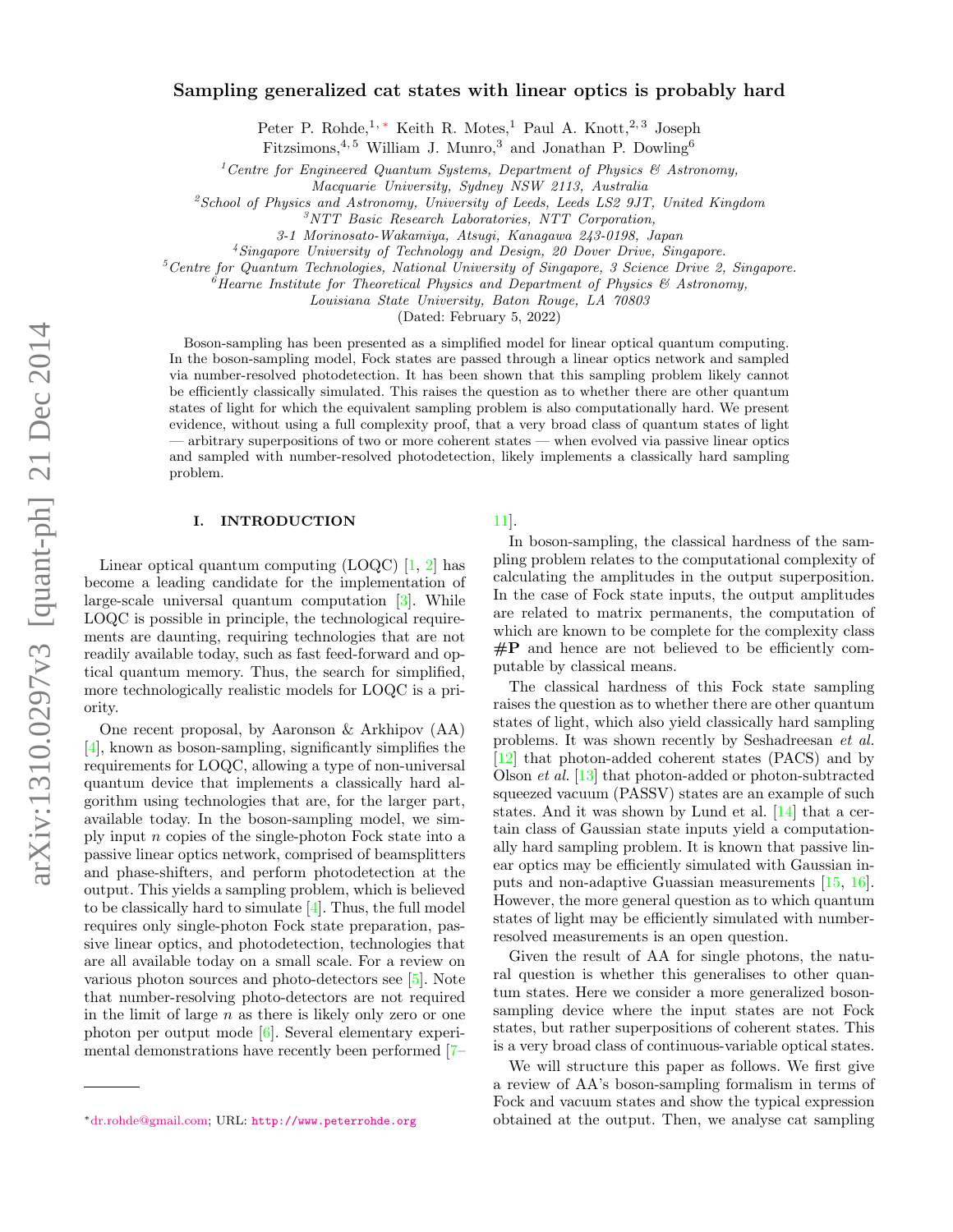# Sampling generalized cat states with linear optics is probably hard

Peter P. Rohde,<sup>1,\*</sup> Keith R. Motes,<sup>1</sup> Paul A. Knott,<sup>2,3</sup> Joseph

Fitzsimons,  $4, 5$  William J. Munro, 3 and Jonathan P. Dowling 6

<sup>1</sup> Centre for Engineered Quantum Systems, Department of Physics & Astronomy,

Macquarie University, Sydney NSW 2113, Australia

<sup>2</sup>School of Physics and Astronomy, University of Leeds, Leeds LS2 9JT, United Kingdom

<sup>3</sup>NTT Basic Research Laboratories, NTT Corporation,

3-1 Morinosato-Wakamiya, Atsugi, Kanagawa 243-0198, Japan

 $4$ Singapore University of Technology and Design, 20 Dover Drive, Singapore.

 ${}^5$ Centre for Quantum Technologies, National University of Singapore, 3 Science Drive 2, Singapore.

 ${}^6$ Hearne Institute for Theoretical Physics and Department of Physics & Astronomy,

Louisiana State University, Baton Rouge, LA 70803

(Dated: February 5, 2022)

Boson-sampling has been presented as a simplified model for linear optical quantum computing. In the boson-sampling model, Fock states are passed through a linear optics network and sampled via number-resolved photodetection. It has been shown that this sampling problem likely cannot be efficiently classically simulated. This raises the question as to whether there are other quantum states of light for which the equivalent sampling problem is also computationally hard. We present evidence, without using a full complexity proof, that a very broad class of quantum states of light — arbitrary superpositions of two or more coherent states — when evolved via passive linear optics and sampled with number-resolved photodetection, likely implements a classically hard sampling problem.

#### I. INTRODUCTION

Linear optical quantum computing  $(LOQC)$  [\[1,](#page-7-0) [2\]](#page-7-1) has become a leading candidate for the implementation of large-scale universal quantum computation [\[3\]](#page-7-2). While LOQC is possible in principle, the technological requirements are daunting, requiring technologies that are not readily available today, such as fast feed-forward and optical quantum memory. Thus, the search for simplified, more technologically realistic models for LOQC is a priority.

One recent proposal, by Aaronson & Arkhipov (AA) [\[4\]](#page-7-3), known as boson-sampling, significantly simplifies the requirements for LOQC, allowing a type of non-universal quantum device that implements a classically hard algorithm using technologies that are, for the larger part, available today. In the boson-sampling model, we simply input n copies of the single-photon Fock state into a passive linear optics network, comprised of beamsplitters and phase-shifters, and perform photodetection at the output. This yields a sampling problem, which is believed to be classically hard to simulate [\[4\]](#page-7-3). Thus, the full model requires only single-photon Fock state preparation, passive linear optics, and photodetection, technologies that are all available today on a small scale. For a review on various photon sources and photo-detectors see [\[5\]](#page-7-4). Note that number-resolving photo-detectors are not required in the limit of large  $n$  as there is likely only zero or one photon per output mode [\[6\]](#page-7-5). Several elementary experimental demonstrations have recently been performed [\[7–](#page-7-6)

## [11\]](#page-7-7).

In boson-sampling, the classical hardness of the sampling problem relates to the computational complexity of calculating the amplitudes in the output superposition. In the case of Fock state inputs, the output amplitudes are related to matrix permanents, the computation of which are known to be complete for the complexity class  $\#P$  and hence are not believed to be efficiently computable by classical means.

The classical hardness of this Fock state sampling raises the question as to whether there are other quantum states of light, which also yield classically hard sampling problems. It was shown recently by Seshadreesan et al. [\[12\]](#page-7-8) that photon-added coherent states (PACS) and by Olson et al. [\[13\]](#page-7-9) that photon-added or photon-subtracted squeezed vacuum (PASSV) states are an example of such states. And it was shown by Lund et al. [\[14\]](#page-7-10) that a certain class of Gaussian state inputs yield a computationally hard sampling problem. It is known that passive linear optics may be efficiently simulated with Gaussian inputs and non-adaptive Guassian measurements [\[15,](#page-7-11) [16\]](#page-7-12). However, the more general question as to which quantum states of light may be efficiently simulated with numberresolved measurements is an open question.

Given the result of AA for single photons, the natural question is whether this generalises to other quantum states. Here we consider a more generalized bosonsampling device where the input states are not Fock states, but rather superpositions of coherent states. This is a very broad class of continuous-variable optical states.

We will structure this paper as follows. We first give a review of AA's boson-sampling formalism in terms of Fock and vacuum states and show the typical expression obtained at the output. Then, we analyse cat sampling

<span id="page-0-0"></span><sup>∗</sup>[dr.rohde@gmail.com;](mailto:dr.rohde@gmail.com) URL: <http://www.peterrohde.org>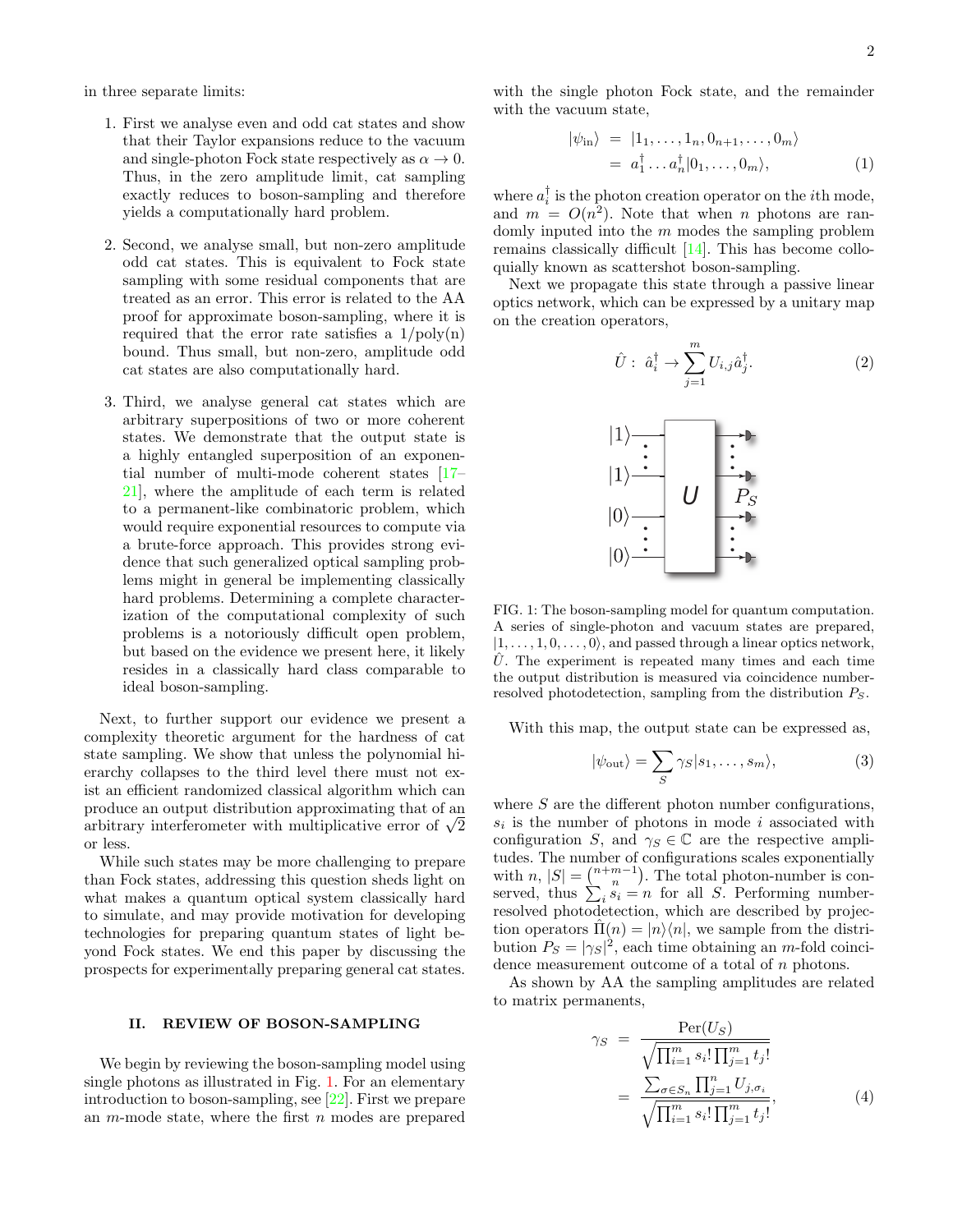in three separate limits:

- 1. First we analyse even and odd cat states and show that their Taylor expansions reduce to the vacuum and single-photon Fock state respectively as  $\alpha \to 0$ . Thus, in the zero amplitude limit, cat sampling exactly reduces to boson-sampling and therefore yields a computationally hard problem.
- 2. Second, we analyse small, but non-zero amplitude odd cat states. This is equivalent to Fock state sampling with some residual components that are treated as an error. This error is related to the AA proof for approximate boson-sampling, where it is required that the error rate satisfies a  $1/\text{poly}(n)$ bound. Thus small, but non-zero, amplitude odd cat states are also computationally hard.
- 3. Third, we analyse general cat states which are arbitrary superpositions of two or more coherent states. We demonstrate that the output state is a highly entangled superposition of an exponential number of multi-mode coherent states [\[17–](#page-7-13) [21\]](#page-7-14), where the amplitude of each term is related to a permanent-like combinatoric problem, which would require exponential resources to compute via a brute-force approach. This provides strong evidence that such generalized optical sampling problems might in general be implementing classically hard problems. Determining a complete characterization of the computational complexity of such problems is a notoriously difficult open problem, but based on the evidence we present here, it likely resides in a classically hard class comparable to ideal boson-sampling.

Next, to further support our evidence we present a complexity theoretic argument for the hardness of cat state sampling. We show that unless the polynomial hierarchy collapses to the third level there must not exist an efficient randomized classical algorithm which can produce an output distribution approximating that of an produce an output distribution approximating that of an arbitrary interferometer with multiplicative error of  $\sqrt{2}$ or less.

While such states may be more challenging to prepare than Fock states, addressing this question sheds light on what makes a quantum optical system classically hard to simulate, and may provide motivation for developing technologies for preparing quantum states of light beyond Fock states. We end this paper by discussing the prospects for experimentally preparing general cat states.

#### II. REVIEW OF BOSON-SAMPLING

We begin by reviewing the boson-sampling model using single photons as illustrated in Fig. [1.](#page-1-0) For an elementary introduction to boson-sampling, see [\[22\]](#page-7-15). First we prepare an  $m$ -mode state, where the first  $n$  modes are prepared with the single photon Fock state, and the remainder with the vacuum state,

<span id="page-1-1"></span>
$$
\begin{aligned} |\psi_{\rm in}\rangle &= |1_1, \dots, 1_n, 0_{n+1}, \dots, 0_m\rangle \\ &= a_1^\dagger \dots a_n^\dagger |0_1, \dots, 0_m\rangle, \end{aligned} \tag{1}
$$

where  $a_i^{\dagger}$  is the photon creation operator on the *i*<sup>th</sup> mode, and  $m = O(n^2)$ . Note that when *n* photons are randomly inputed into the  $m$  modes the sampling problem remains classically difficult [\[14\]](#page-7-10). This has become colloquially known as scattershot boson-sampling.

Next we propagate this state through a passive linear optics network, which can be expressed by a unitary map on the creation operators,

$$
\hat{U}: \hat{a}_i^{\dagger} \to \sum_{j=1}^m U_{i,j} \hat{a}_j^{\dagger}.
$$
 (2)



<span id="page-1-0"></span>FIG. 1: The boson-sampling model for quantum computation. A series of single-photon and vacuum states are prepared,  $|1, \ldots, 1, 0, \ldots, 0\rangle$ , and passed through a linear optics network,  $\hat{U}$ . The experiment is repeated many times and each time the output distribution is measured via coincidence numberresolved photodetection, sampling from the distribution  $P<sub>S</sub>$ .

With this map, the output state can be expressed as,

$$
|\psi_{\text{out}}\rangle = \sum_{S} \gamma_{S} |s_{1}, \dots, s_{m}\rangle, \tag{3}
$$

where  $S$  are the different photon number configurations,  $s_i$  is the number of photons in mode i associated with configuration S, and  $\gamma_S \in \mathbb{C}$  are the respective amplitudes. The number of configurations scales exponentially with  $n, |S| = \binom{n+m-1}{n}$ . The total photon-number is conserved, thus  $\sum_i s_i = n$  for all S. Performing numberresolved photodetection, which are described by projection operators  $\Pi(n) = |n\rangle\langle n|$ , we sample from the distribution  $P_S = |\gamma_S|^2$ , each time obtaining an *m*-fold coincidence measurement outcome of a total of n photons.

As shown by AA the sampling amplitudes are related to matrix permanents,

$$
\gamma_S = \frac{\text{Per}(U_S)}{\sqrt{\prod_{i=1}^m s_i! \prod_{j=1}^m t_j!}} = \frac{\sum_{\sigma \in S_n} \prod_{j=1}^n U_{j,\sigma_i}}{\sqrt{\prod_{i=1}^m s_i! \prod_{j=1}^m t_j!}},
$$
(4)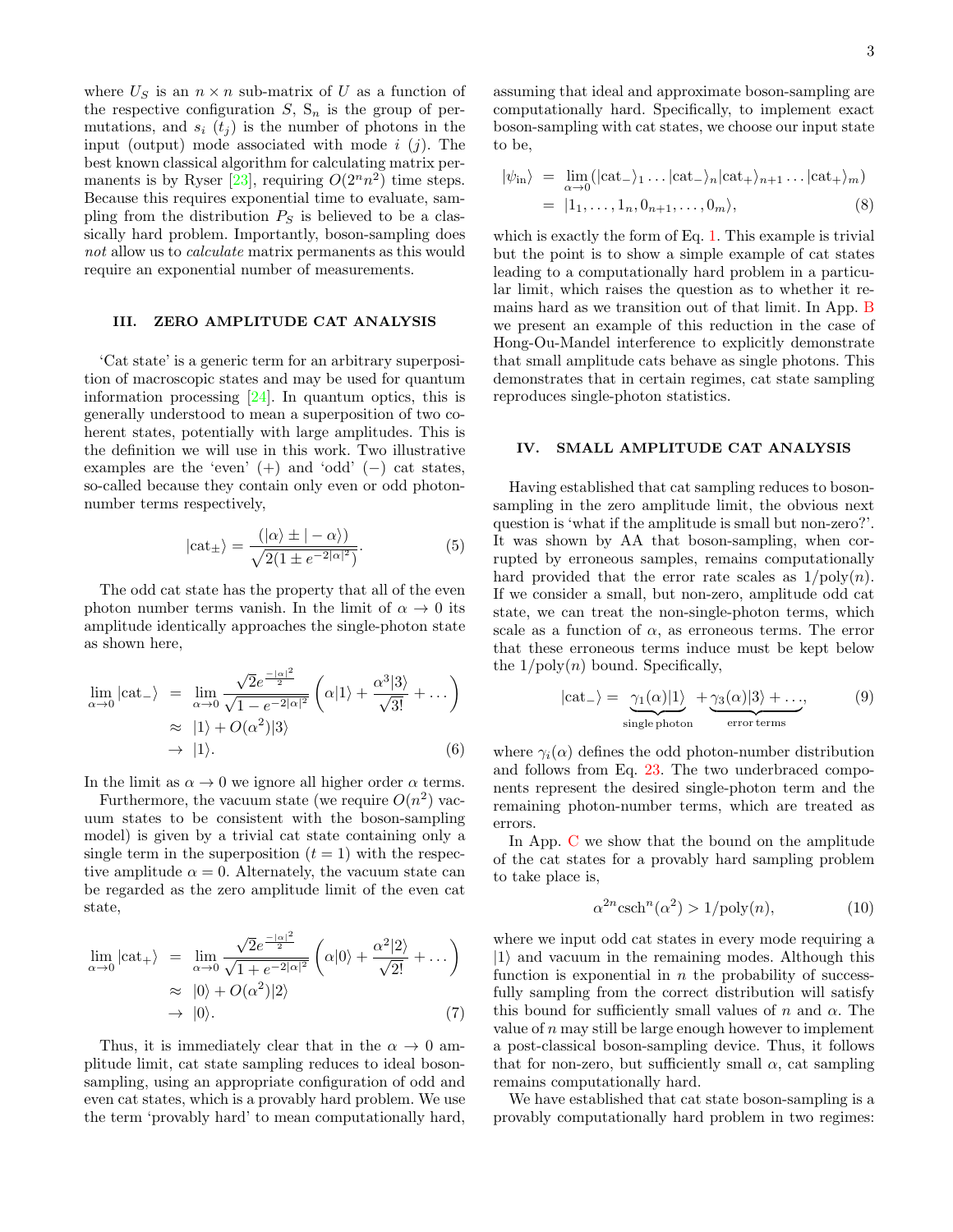where  $U_S$  is an  $n \times n$  sub-matrix of U as a function of the respective configuration  $S$ ,  $S_n$  is the group of permutations, and  $s_i$  ( $t_j$ ) is the number of photons in the input (output) mode associated with mode  $i$  (j). The best known classical algorithm for calculating matrix per-manents is by Ryser [\[23\]](#page-7-16), requiring  $O(2^n n^2)$  time steps. Because this requires exponential time to evaluate, sampling from the distribution  $P<sub>S</sub>$  is believed to be a classically hard problem. Importantly, boson-sampling does not allow us to *calculate* matrix permanents as this would require an exponential number of measurements.

## III. ZERO AMPLITUDE CAT ANALYSIS

'Cat state' is a generic term for an arbitrary superposition of macroscopic states and may be used for quantum information processing [\[24\]](#page-7-17). In quantum optics, this is generally understood to mean a superposition of two coherent states, potentially with large amplitudes. This is the definition we will use in this work. Two illustrative examples are the 'even'  $(+)$  and 'odd'  $(-)$  cat states, so-called because they contain only even or odd photonnumber terms respectively,

$$
|\text{cat}_{\pm}\rangle = \frac{(|\alpha\rangle \pm |-\alpha\rangle)}{\sqrt{2(1 \pm e^{-2|\alpha|^2})}}.
$$
 (5)

The odd cat state has the property that all of the even photon number terms vanish. In the limit of  $\alpha \to 0$  its amplitude identically approaches the single-photon state as shown here,

$$
\lim_{\alpha \to 0} |\text{cat-}\rangle = \lim_{\alpha \to 0} \frac{\sqrt{2}e^{\frac{-|\alpha|^2}{2}}}{\sqrt{1 - e^{-2|\alpha|^2}}} \left( \alpha | 1 \rangle + \frac{\alpha^3 | 3 \rangle}{\sqrt{3!}} + \dots \right) \n\approx |1 \rangle + O(\alpha^2) | 3 \rangle \n\to |1 \rangle.
$$
\n(6)

In the limit as  $\alpha \to 0$  we ignore all higher order  $\alpha$  terms.

Furthermore, the vacuum state (we require  $O(n^2)$  vacuum states to be consistent with the boson-sampling model) is given by a trivial cat state containing only a single term in the superposition  $(t = 1)$  with the respective amplitude  $\alpha = 0$ . Alternately, the vacuum state can be regarded as the zero amplitude limit of the even cat state,

$$
\lim_{\alpha \to 0} |\text{cat}_+ \rangle = \lim_{\alpha \to 0} \frac{\sqrt{2}e^{\frac{-|\alpha|^2}{2}}}{\sqrt{1 + e^{-2|\alpha|^2}}} \left( \alpha |0 \rangle + \frac{\alpha^2 |2 \rangle}{\sqrt{2!}} + \dots \right) \approx |0 \rangle + O(\alpha^2) |2 \rangle
$$
  
\n
$$
\to |0 \rangle. \tag{7}
$$

Thus, it is immediately clear that in the  $\alpha \rightarrow 0$  amplitude limit, cat state sampling reduces to ideal bosonsampling, using an appropriate configuration of odd and even cat states, which is a provably hard problem. We use the term 'provably hard' to mean computationally hard, assuming that ideal and approximate boson-sampling are computationally hard. Specifically, to implement exact boson-sampling with cat states, we choose our input state to be,

$$
|\psi_{\text{in}}\rangle = \lim_{\alpha \to 0} (|\text{cat-}\rangle_1 \dots |\text{cat-}\rangle_n |\text{cat+}\rangle_{n+1} \dots |\text{cat+}\rangle_m)
$$
  
= |1<sub>1</sub>,..., 1<sub>n</sub>, 0<sub>n+1</sub>,..., 0<sub>m</sub>⟩, (8)

which is exactly the form of Eq. [1.](#page-1-1) This example is trivial but the point is to show a simple example of cat states leading to a computationally hard problem in a particular limit, which raises the question as to whether it remains hard as we transition out of that limit. In App. [B](#page-8-0) we present an example of this reduction in the case of Hong-Ou-Mandel interference to explicitly demonstrate that small amplitude cats behave as single photons. This demonstrates that in certain regimes, cat state sampling reproduces single-photon statistics.

#### IV. SMALL AMPLITUDE CAT ANALYSIS

Having established that cat sampling reduces to bosonsampling in the zero amplitude limit, the obvious next question is 'what if the amplitude is small but non-zero?'. It was shown by AA that boson-sampling, when corrupted by erroneous samples, remains computationally hard provided that the error rate scales as  $1/\text{poly}(n)$ . If we consider a small, but non-zero, amplitude odd cat state, we can treat the non-single-photon terms, which scale as a function of  $\alpha$ , as erroneous terms. The error that these erroneous terms induce must be kept below the  $1/\text{poly}(n)$  bound. Specifically,

$$
|\text{cat-}\rangle = \underbrace{\gamma_1(\alpha)|1\rangle}_{\text{single photon}} + \underbrace{\gamma_3(\alpha)|3\rangle + \dots}_{\text{error terms}},
$$
 (9)

where  $\gamma_i(\alpha)$  defines the odd photon-number distribution and follows from Eq. [23.](#page-4-0) The two underbraced components represent the desired single-photon term and the remaining photon-number terms, which are treated as errors.

In App. [C](#page-9-0) we show that the bound on the amplitude of the cat states for a provably hard sampling problem to take place is,

<span id="page-2-0"></span>
$$
\alpha^{2n}\operatorname{csch}^n(\alpha^2) > 1/\mathrm{poly}(n),\tag{10}
$$

where we input odd cat states in every mode requiring a  $|1\rangle$  and vacuum in the remaining modes. Although this function is exponential in  $n$  the probability of successfully sampling from the correct distribution will satisfy this bound for sufficiently small values of  $n$  and  $\alpha$ . The value of  $n$  may still be large enough however to implement a post-classical boson-sampling device. Thus, it follows that for non-zero, but sufficiently small  $\alpha$ , cat sampling remains computationally hard.

We have established that cat state boson-sampling is a provably computationally hard problem in two regimes: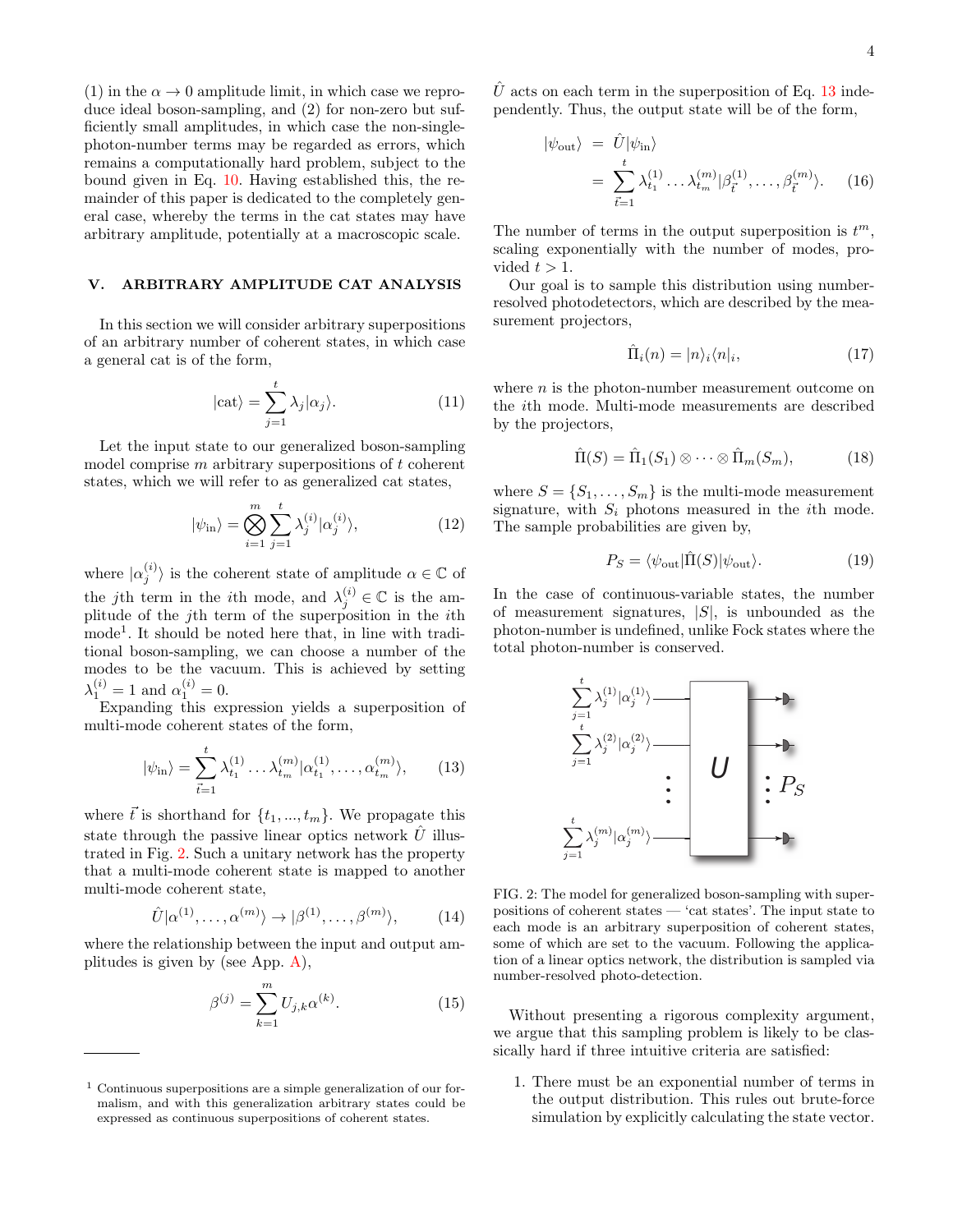(1) in the  $\alpha \rightarrow 0$  amplitude limit, in which case we reproduce ideal boson-sampling, and (2) for non-zero but sufficiently small amplitudes, in which case the non-singlephoton-number terms may be regarded as errors, which remains a computationally hard problem, subject to the bound given in Eq. [10.](#page-2-0) Having established this, the remainder of this paper is dedicated to the completely general case, whereby the terms in the cat states may have arbitrary amplitude, potentially at a macroscopic scale.

### V. ARBITRARY AMPLITUDE CAT ANALYSIS

In this section we will consider arbitrary superpositions of an arbitrary number of coherent states, in which case a general cat is of the form,

$$
|\text{cat}\rangle = \sum_{j=1}^{t} \lambda_j |\alpha_j\rangle.
$$
 (11)

Let the input state to our generalized boson-sampling model comprise  $m$  arbitrary superpositions of  $t$  coherent states, which we will refer to as generalized cat states,

$$
|\psi_{\rm in}\rangle = \bigotimes_{i=1}^{m} \sum_{j=1}^{t} \lambda_j^{(i)} |\alpha_j^{(i)}\rangle, \tag{12}
$$

where  $|\alpha_j^{(i)}\rangle$  is the coherent state of amplitude  $\alpha \in \mathbb{C}$  of the jth term in the *i*th mode, and  $\lambda_j^{(i)} \in \mathbb{C}$  is the amplitude of the jth term of the superposition in the ith mode<sup>1</sup> . It should be noted here that, in line with traditional boson-sampling, we can choose a number of the modes to be the vacuum. This is achieved by setting  $\lambda_1^{(i)} = 1$  and  $\alpha_1^{(i)} = 0$ .

Expanding this expression yields a superposition of multi-mode coherent states of the form,

<span id="page-3-1"></span>
$$
|\psi_{\rm in}\rangle = \sum_{\vec{t}=1}^{t} \lambda_{t_1}^{(1)} \dots \lambda_{t_m}^{(m)} | \alpha_{t_1}^{(1)}, \dots, \alpha_{t_m}^{(m)} \rangle, \qquad (13)
$$

where  $\vec{t}$  is shorthand for  $\{t_1, ..., t_m\}$ . We propagate this state through the passive linear optics network  $\hat{U}$  illustrated in Fig. [2.](#page-3-0) Such a unitary network has the property that a multi-mode coherent state is mapped to another multi-mode coherent state,

<span id="page-3-2"></span>
$$
\hat{U}|\alpha^{(1)},\ldots,\alpha^{(m)}\rangle \to |\beta^{(1)},\ldots,\beta^{(m)}\rangle, \tag{14}
$$

where the relationship between the input and output amplitudes is given by (see App. [A\)](#page-7-18),

<span id="page-3-5"></span>
$$
\beta^{(j)} = \sum_{k=1}^{m} U_{j,k} \alpha^{(k)}.
$$
 (15)

 $\hat{U}$  acts on each term in the superposition of Eq. [13](#page-3-1) independently. Thus, the output state will be of the form,

<span id="page-3-4"></span>
$$
|\psi_{\text{out}}\rangle = \hat{U}|\psi_{\text{in}}\rangle
$$
  
= 
$$
\sum_{\vec{t}=1}^{t} \lambda_{t_1}^{(1)} \dots \lambda_{t_m}^{(m)} |\beta_{\vec{t}}^{(1)}, \dots, \beta_{\vec{t}}^{(m)}\rangle.
$$
 (16)

The number of terms in the output superposition is  $t^m$ , scaling exponentially with the number of modes, provided  $t > 1$ .

Our goal is to sample this distribution using numberresolved photodetectors, which are described by the measurement projectors,

$$
\hat{\Pi}_i(n) = |n\rangle_i \langle n|_i,\tag{17}
$$

where  $n$  is the photon-number measurement outcome on the ith mode. Multi-mode measurements are described by the projectors,

<span id="page-3-3"></span>
$$
\hat{\Pi}(S) = \hat{\Pi}_1(S_1) \otimes \cdots \otimes \hat{\Pi}_m(S_m), \tag{18}
$$

where  $S = \{S_1, \ldots, S_m\}$  is the multi-mode measurement signature, with  $S_i$  photons measured in the *i*th mode. The sample probabilities are given by,

$$
P_S = \langle \psi_{\text{out}} | \hat{\Pi}(S) | \psi_{\text{out}} \rangle. \tag{19}
$$

In the case of continuous-variable states, the number of measurement signatures,  $|S|$ , is unbounded as the photon-number is undefined, unlike Fock states where the total photon-number is conserved.



<span id="page-3-0"></span>FIG. 2: The model for generalized boson-sampling with superpositions of coherent states — 'cat states'. The input state to each mode is an arbitrary superposition of coherent states, some of which are set to the vacuum. Following the application of a linear optics network, the distribution is sampled via number-resolved photo-detection.

Without presenting a rigorous complexity argument, we argue that this sampling problem is likely to be classically hard if three intuitive criteria are satisfied:

1. There must be an exponential number of terms in the output distribution. This rules out brute-force simulation by explicitly calculating the state vector.

 $1$  Continuous superpositions are a simple generalization of our formalism, and with this generalization arbitrary states could be expressed as continuous superpositions of coherent states.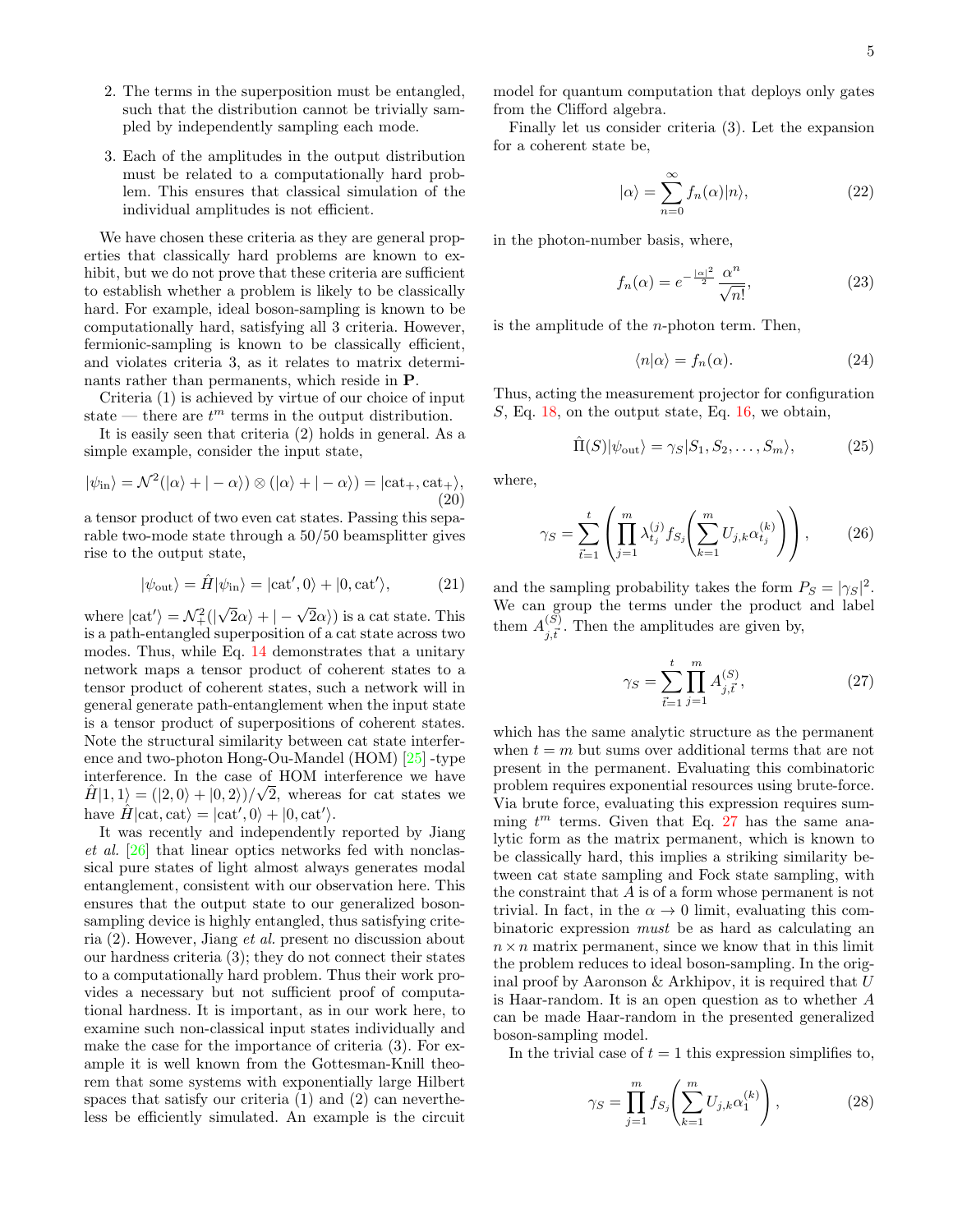- 2. The terms in the superposition must be entangled, such that the distribution cannot be trivially sampled by independently sampling each mode.
- 3. Each of the amplitudes in the output distribution must be related to a computationally hard problem. This ensures that classical simulation of the individual amplitudes is not efficient.

We have chosen these criteria as they are general properties that classically hard problems are known to exhibit, but we do not prove that these criteria are sufficient to establish whether a problem is likely to be classically hard. For example, ideal boson-sampling is known to be computationally hard, satisfying all 3 criteria. However, fermionic-sampling is known to be classically efficient, and violates criteria 3, as it relates to matrix determinants rather than permanents, which reside in P.

Criteria (1) is achieved by virtue of our choice of input state — there are  $t^m$  terms in the output distribution.

It is easily seen that criteria (2) holds in general. As a simple example, consider the input state,

$$
|\psi_{\rm in}\rangle = \mathcal{N}^2(|\alpha\rangle + |-\alpha\rangle) \otimes (|\alpha\rangle + |-\alpha\rangle) = |\text{cat}_+, \text{cat}_+\rangle, \tag{20}
$$

a tensor product of two even cat states. Passing this separable two-mode state through a 50/50 beamsplitter gives rise to the output state,

$$
|\psi_{\text{out}}\rangle = \hat{H}|\psi_{\text{in}}\rangle = |\text{cat}',0\rangle + |0,\text{cat}'\rangle, \tag{21}
$$

where  $|\text{cat}'\rangle = \mathcal{N}_+^2(|$  $\sqrt{2}\alpha$  +  $|-\sqrt{2}\alpha\rangle$  is a cat state. This is a path-entangled superposition of a cat state across two modes. Thus, while Eq. [14](#page-3-2) demonstrates that a unitary network maps a tensor product of coherent states to a tensor product of coherent states, such a network will in general generate path-entanglement when the input state is a tensor product of superpositions of coherent states. Note the structural similarity between cat state interference and two-photon Hong-Ou-Mandel (HOM) [\[25\]](#page-7-19) -type interference. In the case of HOM interference we have  $\hat{H}|1,1\rangle = (|2,0\rangle + |0,2\rangle)/\sqrt{2}$ , whereas for cat states we have  $\hat{H}|\text{cat}, \text{cat}\rangle = |\text{cat}', 0\rangle + |0, \text{cat}'\rangle.$ 

It was recently and independently reported by Jiang et al. [\[26\]](#page-7-20) that linear optics networks fed with nonclassical pure states of light almost always generates modal entanglement, consistent with our observation here. This ensures that the output state to our generalized bosonsampling device is highly entangled, thus satisfying criteria (2). However, Jiang et al. present no discussion about our hardness criteria (3); they do not connect their states to a computationally hard problem. Thus their work provides a necessary but not sufficient proof of computational hardness. It is important, as in our work here, to examine such non-classical input states individually and make the case for the importance of criteria (3). For example it is well known from the Gottesman-Knill theorem that some systems with exponentially large Hilbert spaces that satisfy our criteria (1) and (2) can nevertheless be efficiently simulated. An example is the circuit model for quantum computation that deploys only gates from the Clifford algebra.

Finally let us consider criteria (3). Let the expansion for a coherent state be,

$$
|\alpha\rangle = \sum_{n=0}^{\infty} f_n(\alpha)|n\rangle, \qquad (22)
$$

in the photon-number basis, where,

<span id="page-4-0"></span>
$$
f_n(\alpha) = e^{-\frac{|\alpha|^2}{2}} \frac{\alpha^n}{\sqrt{n!}},\tag{23}
$$

is the amplitude of the  $n$ -photon term. Then,

$$
\langle n|\alpha\rangle = f_n(\alpha). \tag{24}
$$

Thus, acting the measurement projector for configuration  $S$ , Eq. [18,](#page-3-3) on the output state, Eq. [16,](#page-3-4) we obtain,

$$
\hat{\Pi}(S)|\psi_{\text{out}}\rangle = \gamma_S|S_1, S_2, \dots, S_m\rangle, \tag{25}
$$

where,

<span id="page-4-2"></span>
$$
\gamma_S = \sum_{\vec{t}=1}^t \left( \prod_{j=1}^m \lambda_{t_j}^{(j)} f_{S_j} \left( \sum_{k=1}^m U_{j,k} \alpha_{t_j}^{(k)} \right) \right), \qquad (26)
$$

and the sampling probability takes the form  $P_S = |\gamma_S|^2$ . We can group the terms under the product and label them  $A^{(S)}_{i,\vec{r}}$  $j, \vec{t}'$ . Then the amplitudes are given by,

<span id="page-4-1"></span>
$$
\gamma_S = \sum_{\vec{t}=1}^t \prod_{j=1}^m A_{j,\vec{t}}^{(S)},\tag{27}
$$

which has the same analytic structure as the permanent when  $t = m$  but sums over additional terms that are not present in the permanent. Evaluating this combinatoric problem requires exponential resources using brute-force. Via brute force, evaluating this expression requires summing  $t^m$  terms. Given that Eq. [27](#page-4-1) has the same analytic form as the matrix permanent, which is known to be classically hard, this implies a striking similarity between cat state sampling and Fock state sampling, with the constraint that A is of a form whose permanent is not trivial. In fact, in the  $\alpha \to 0$  limit, evaluating this combinatoric expression must be as hard as calculating an  $n \times n$  matrix permanent, since we know that in this limit the problem reduces to ideal boson-sampling. In the original proof by Aaronson  $&$  Arkhipov, it is required that  $U$ is Haar-random. It is an open question as to whether A can be made Haar-random in the presented generalized boson-sampling model.

In the trivial case of  $t = 1$  this expression simplifies to,

$$
\gamma_S = \prod_{j=1}^m f_{S_j} \left( \sum_{k=1}^m U_{j,k} \alpha_1^{(k)} \right), \tag{28}
$$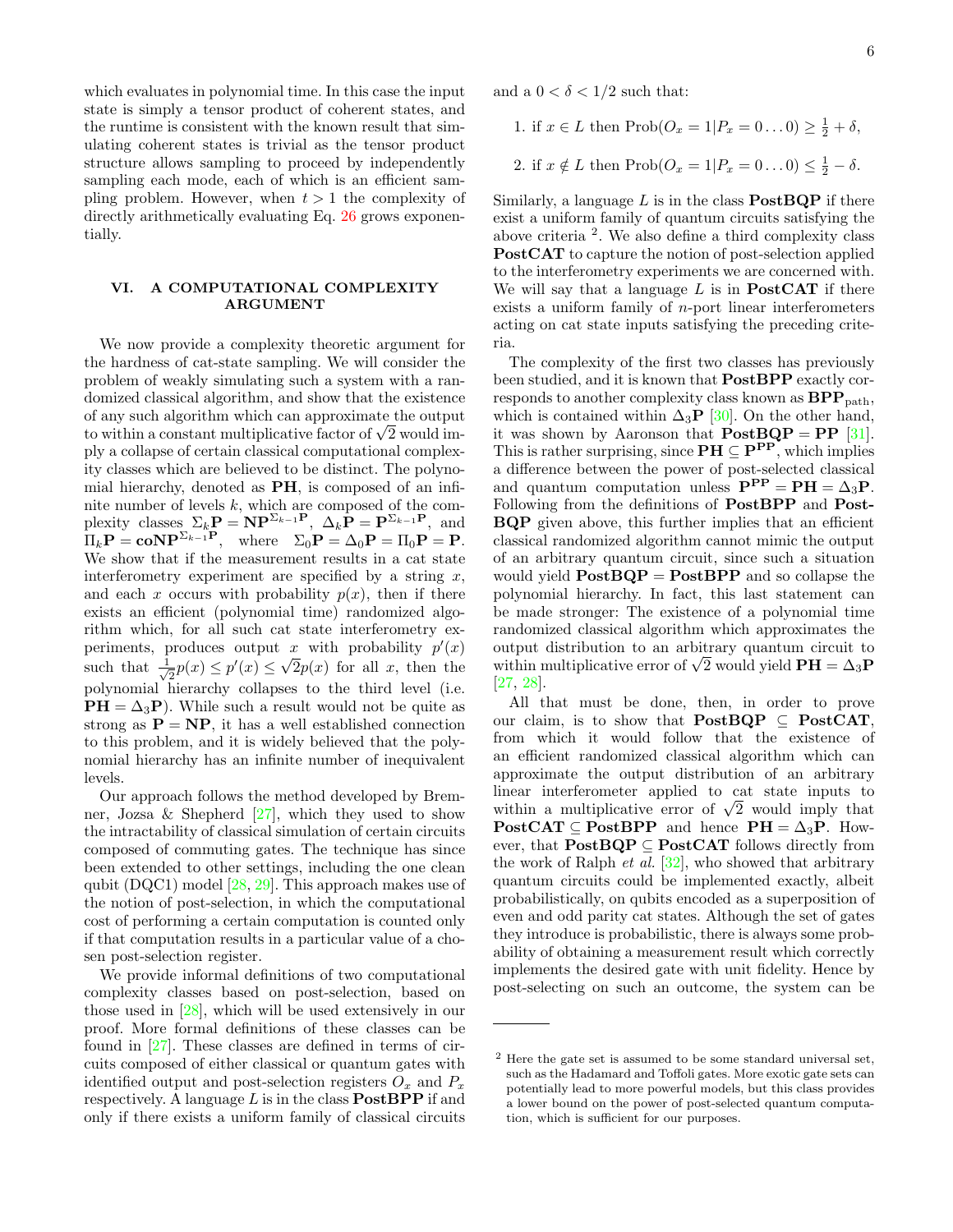which evaluates in polynomial time. In this case the input state is simply a tensor product of coherent states, and the runtime is consistent with the known result that simulating coherent states is trivial as the tensor product structure allows sampling to proceed by independently sampling each mode, each of which is an efficient sampling problem. However, when  $t > 1$  the complexity of directly arithmetically evaluating Eq. [26](#page-4-2) grows exponentially.

### VI. A COMPUTATIONAL COMPLEXITY ARGUMENT

We now provide a complexity theoretic argument for the hardness of cat-state sampling. We will consider the problem of weakly simulating such a system with a randomized classical algorithm, and show that the existence of any such algorithm which can approximate the output of any such algorithm which can approximate the output<br>to within a constant multiplicative factor of  $\sqrt{2}$  would imply a collapse of certain classical computational complexity classes which are believed to be distinct. The polynomial hierarchy, denoted as PH, is composed of an infinite number of levels k, which are composed of the complexity classes  $\Sigma_k \mathbf{P} = \mathbf{NP}^{\Sigma_{k-1}P}, \ \Delta_k \mathbf{P} = \mathbf{P}^{\Sigma_{k-1}P}, \ \text{and}$  $\Pi_k \mathbf{P} = \mathbf{co} \mathbf{NP}^{\Sigma_{k-1} \mathbf{P}}, \quad \text{where} \quad \Sigma_0 \mathbf{P} = \Delta_0 \mathbf{P} = \Pi_0 \mathbf{P} = \mathbf{P}.$ We show that if the measurement results in a cat state interferometry experiment are specified by a string  $x$ , and each x occurs with probability  $p(x)$ , then if there exists an efficient (polynomial time) randomized algorithm which, for all such cat state interferometry experiments, produces output x with probability  $p'(x)$ such that  $\frac{1}{\sqrt{2}}$  $\overline{p}(x) \leq p'(x) \leq \sqrt{2}p(x)$  for all x, then the polynomial hierarchy collapses to the third level (i.e.  $PH = \Delta_3 P$ ). While such a result would not be quite as strong as  $P = NP$ , it has a well established connection to this problem, and it is widely believed that the polynomial hierarchy has an infinite number of inequivalent levels.

Our approach follows the method developed by Bremner, Jozsa & Shepherd  $[27]$ , which they used to show the intractability of classical simulation of certain circuits composed of commuting gates. The technique has since been extended to other settings, including the one clean qubit (DQC1) model [\[28,](#page-7-22) [29\]](#page-7-23). This approach makes use of the notion of post-selection, in which the computational cost of performing a certain computation is counted only if that computation results in a particular value of a chosen post-selection register.

We provide informal definitions of two computational complexity classes based on post-selection, based on those used in [\[28\]](#page-7-22), which will be used extensively in our proof. More formal definitions of these classes can be found in [\[27\]](#page-7-21). These classes are defined in terms of circuits composed of either classical or quantum gates with identified output and post-selection registers  $O_x$  and  $P_x$ respectively. A language  $L$  is in the class **PostBPP** if and only if there exists a uniform family of classical circuits

and a  $0 < \delta < 1/2$  such that:

1. if 
$$
x \in L
$$
 then  $\text{Prob}(O_x = 1 | P_x = 0 \dots 0) \ge \frac{1}{2} + \delta$ ,  
2. if  $x \notin L$  then  $\text{Prob}(O_x = 1 | P_x = 0 \dots 0) \le \frac{1}{2} - \delta$ .

Similarly, a language  $L$  is in the class **PostBQP** if there exist a uniform family of quantum circuits satisfying the above criteria <sup>2</sup> . We also define a third complexity class PostCAT to capture the notion of post-selection applied to the interferometry experiments we are concerned with. We will say that a language  $L$  is in **PostCAT** if there exists a uniform family of  $n$ -port linear interferometers acting on cat state inputs satisfying the preceding criteria.

The complexity of the first two classes has previously been studied, and it is known that PostBPP exactly corresponds to another complexity class known as  $BPP_{path}$ , which is contained within  $\Delta_3$ **P** [\[30\]](#page-7-24). On the other hand, it was shown by Aaronson that  $PostBQP = PP$  [\[31\]](#page-7-25). This is rather surprising, since  $\mathbf{PH} \subseteq \mathbf{P}^{\mathbf{PP}}$ , which implies a difference between the power of post-selected classical and quantum computation unless  $\mathbf{P}^{\mathbf{P}} = \mathbf{P}\mathbf{H} = \Delta_3 \mathbf{P}$ . Following from the definitions of **PostBPP** and **Post-**BQP given above, this further implies that an efficient classical randomized algorithm cannot mimic the output of an arbitrary quantum circuit, since such a situation would yield  $PostBQP = PostBPP$  and so collapse the polynomial hierarchy. In fact, this last statement can be made stronger: The existence of a polynomial time randomized classical algorithm which approximates the output distribution to an arbitrary quantum circuit to output distribution to an arbitrary quantum circuit to<br>within multiplicative error of  $\sqrt{2}$  would yield  $\mathbf{PH} = \Delta_3 \mathbf{P}$ [\[27,](#page-7-21) [28\]](#page-7-22).

All that must be done, then, in order to prove our claim, is to show that **PostBQP**  $\subseteq$  **PostCAT**, from which it would follow that the existence of an efficient randomized classical algorithm which can approximate the output distribution of an arbitrary linear interferometer applied to cat state inputs to mear interferometer applied to cat state inputs to within a multiplicative error of  $\sqrt{2}$  would imply that  $PostCAT \subseteq PostBPP$  and hence  $PH = \Delta_3P$ . However, that  $PostBQP \subseteq PostCAT$  follows directly from the work of Ralph  $et$  al.  $[32]$ , who showed that arbitrary quantum circuits could be implemented exactly, albeit probabilistically, on qubits encoded as a superposition of even and odd parity cat states. Although the set of gates they introduce is probabilistic, there is always some probability of obtaining a measurement result which correctly implements the desired gate with unit fidelity. Hence by post-selecting on such an outcome, the system can be

<sup>2</sup> Here the gate set is assumed to be some standard universal set, such as the Hadamard and Toffoli gates. More exotic gate sets can potentially lead to more powerful models, but this class provides a lower bound on the power of post-selected quantum computation, which is sufficient for our purposes.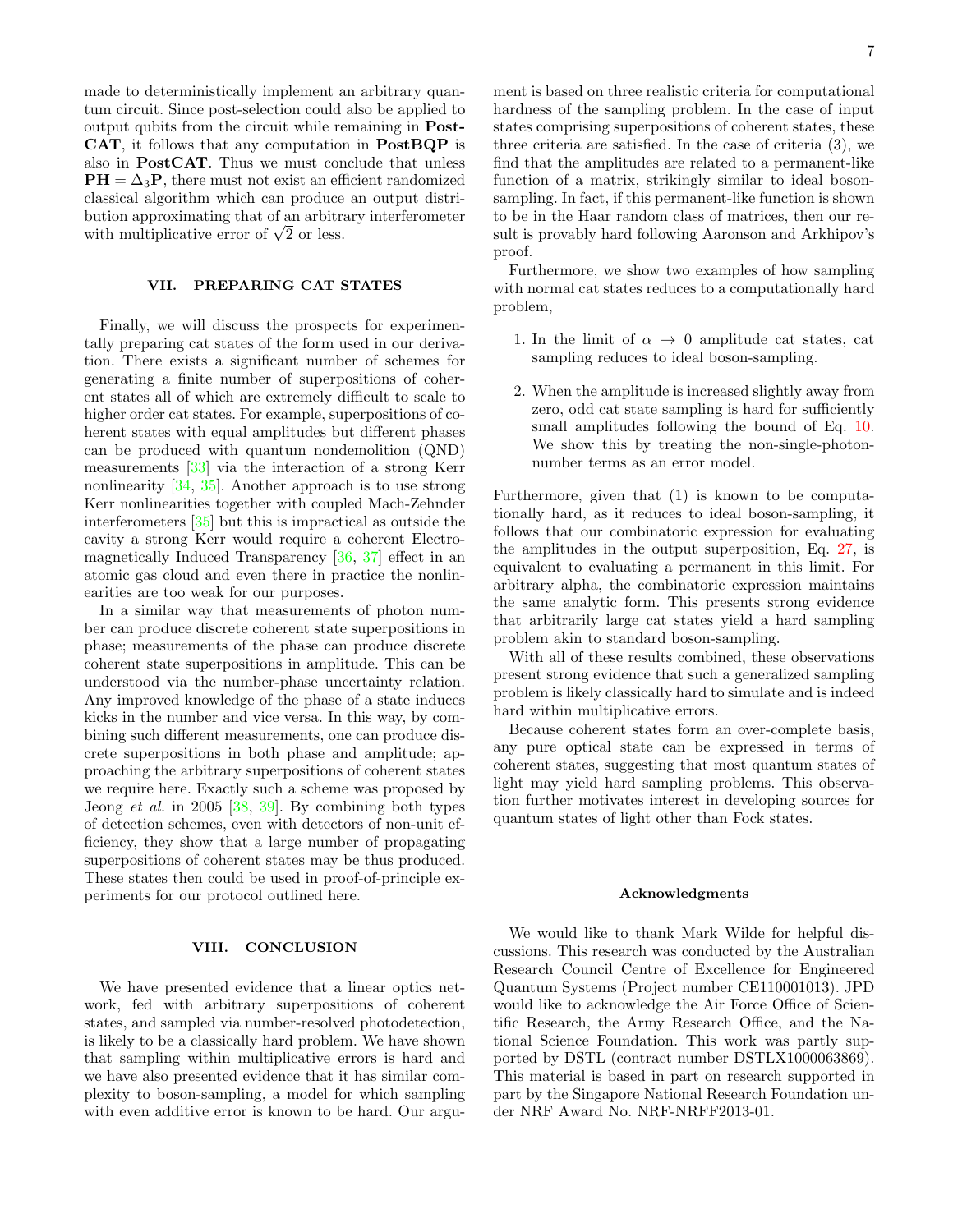made to deterministically implement an arbitrary quantum circuit. Since post-selection could also be applied to output qubits from the circuit while remaining in Post-CAT, it follows that any computation in PostBQP is also in PostCAT. Thus we must conclude that unless  $PH = \Delta_3 P$ , there must not exist an efficient randomized classical algorithm which can produce an output distribution approximating that of an arbitrary interferometer bution approximating that of an arbitra<br>with multiplicative error of  $\sqrt{2}$  or less.

#### VII. PREPARING CAT STATES

Finally, we will discuss the prospects for experimentally preparing cat states of the form used in our derivation. There exists a significant number of schemes for generating a finite number of superpositions of coherent states all of which are extremely difficult to scale to higher order cat states. For example, superpositions of coherent states with equal amplitudes but different phases can be produced with quantum nondemolition (QND) measurements [\[33\]](#page-7-27) via the interaction of a strong Kerr nonlinearity [\[34,](#page-7-28) [35\]](#page-7-29). Another approach is to use strong Kerr nonlinearities together with coupled Mach-Zehnder interferometers [\[35\]](#page-7-29) but this is impractical as outside the cavity a strong Kerr would require a coherent Electromagnetically Induced Transparency [\[36,](#page-7-30) [37\]](#page-7-31) effect in an atomic gas cloud and even there in practice the nonlinearities are too weak for our purposes.

In a similar way that measurements of photon number can produce discrete coherent state superpositions in phase; measurements of the phase can produce discrete coherent state superpositions in amplitude. This can be understood via the number-phase uncertainty relation. Any improved knowledge of the phase of a state induces kicks in the number and vice versa. In this way, by combining such different measurements, one can produce discrete superpositions in both phase and amplitude; approaching the arbitrary superpositions of coherent states we require here. Exactly such a scheme was proposed by Jeong et al. in 2005 [\[38,](#page-7-32) [39\]](#page-7-33). By combining both types of detection schemes, even with detectors of non-unit efficiency, they show that a large number of propagating superpositions of coherent states may be thus produced. These states then could be used in proof-of-principle experiments for our protocol outlined here.

#### VIII. CONCLUSION

We have presented evidence that a linear optics network, fed with arbitrary superpositions of coherent states, and sampled via number-resolved photodetection, is likely to be a classically hard problem. We have shown that sampling within multiplicative errors is hard and we have also presented evidence that it has similar complexity to boson-sampling, a model for which sampling with even additive error is known to be hard. Our argument is based on three realistic criteria for computational hardness of the sampling problem. In the case of input states comprising superpositions of coherent states, these three criteria are satisfied. In the case of criteria (3), we find that the amplitudes are related to a permanent-like function of a matrix, strikingly similar to ideal bosonsampling. In fact, if this permanent-like function is shown to be in the Haar random class of matrices, then our result is provably hard following Aaronson and Arkhipov's proof.

Furthermore, we show two examples of how sampling with normal cat states reduces to a computationally hard problem,

- 1. In the limit of  $\alpha \rightarrow 0$  amplitude cat states, cat sampling reduces to ideal boson-sampling.
- 2. When the amplitude is increased slightly away from zero, odd cat state sampling is hard for sufficiently small amplitudes following the bound of Eq. [10.](#page-2-0) We show this by treating the non-single-photonnumber terms as an error model.

Furthermore, given that (1) is known to be computationally hard, as it reduces to ideal boson-sampling, it follows that our combinatoric expression for evaluating the amplitudes in the output superposition, Eq. [27,](#page-4-1) is equivalent to evaluating a permanent in this limit. For arbitrary alpha, the combinatoric expression maintains the same analytic form. This presents strong evidence that arbitrarily large cat states yield a hard sampling problem akin to standard boson-sampling.

With all of these results combined, these observations present strong evidence that such a generalized sampling problem is likely classically hard to simulate and is indeed hard within multiplicative errors.

Because coherent states form an over-complete basis, any pure optical state can be expressed in terms of coherent states, suggesting that most quantum states of light may yield hard sampling problems. This observation further motivates interest in developing sources for quantum states of light other than Fock states.

#### Acknowledgments

We would like to thank Mark Wilde for helpful discussions. This research was conducted by the Australian Research Council Centre of Excellence for Engineered Quantum Systems (Project number CE110001013). JPD would like to acknowledge the Air Force Office of Scientific Research, the Army Research Office, and the National Science Foundation. This work was partly supported by DSTL (contract number DSTLX1000063869). This material is based in part on research supported in part by the Singapore National Research Foundation under NRF Award No. NRF-NRFF2013-01.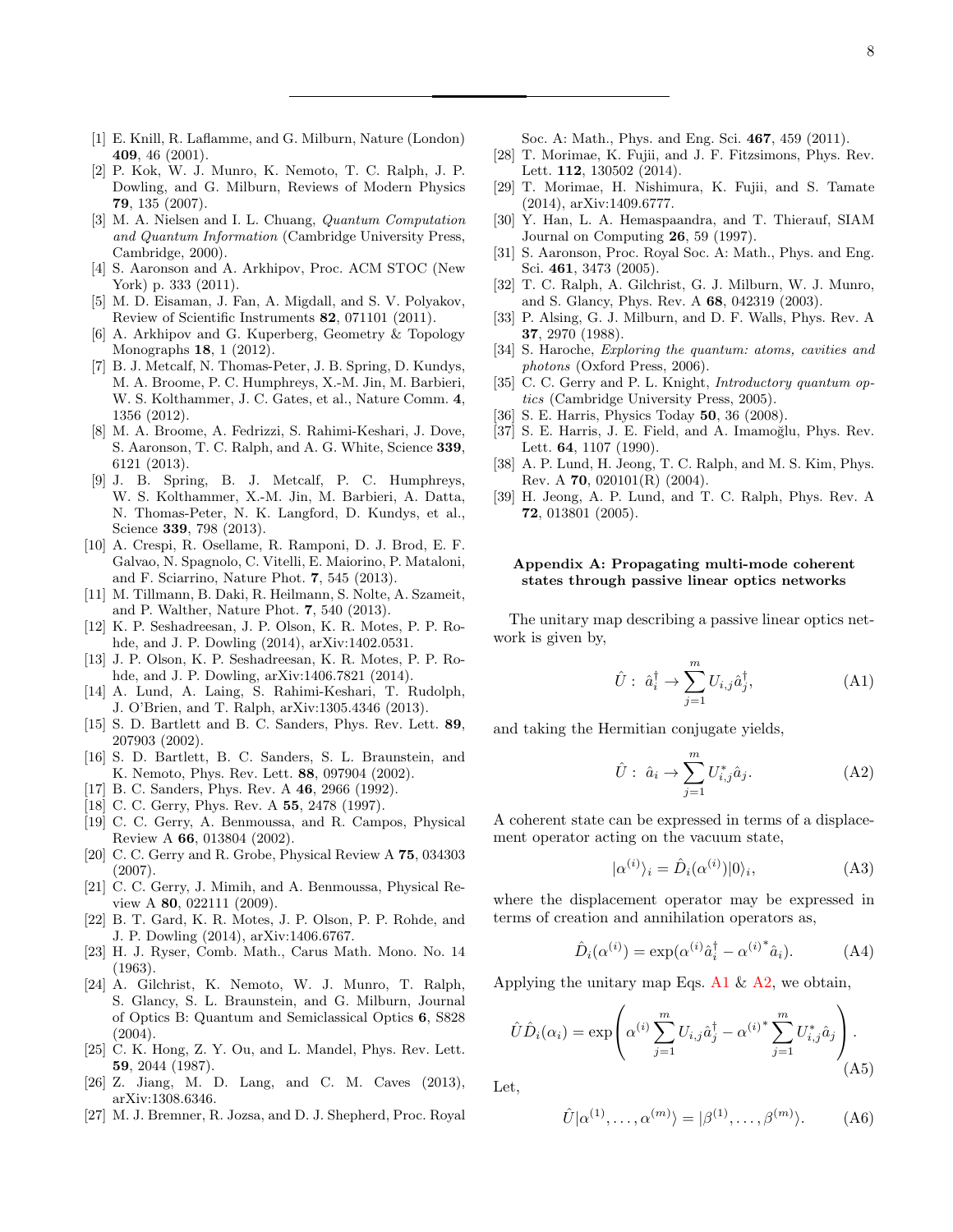- <span id="page-7-0"></span>[1] E. Knill, R. Laflamme, and G. Milburn, Nature (London) 409, 46 (2001).
- <span id="page-7-1"></span>[2] P. Kok, W. J. Munro, K. Nemoto, T. C. Ralph, J. P. Dowling, and G. Milburn, Reviews of Modern Physics 79, 135 (2007).
- <span id="page-7-2"></span>[3] M. A. Nielsen and I. L. Chuang, *Quantum Computation* and Quantum Information (Cambridge University Press, Cambridge, 2000).
- <span id="page-7-3"></span>[4] S. Aaronson and A. Arkhipov, Proc. ACM STOC (New York) p. 333 (2011).
- <span id="page-7-4"></span>[5] M. D. Eisaman, J. Fan, A. Migdall, and S. V. Polyakov, Review of Scientific Instruments 82, 071101 (2011).
- <span id="page-7-5"></span>[6] A. Arkhipov and G. Kuperberg, Geometry & Topology Monographs 18, 1 (2012).
- <span id="page-7-6"></span>[7] B. J. Metcalf, N. Thomas-Peter, J. B. Spring, D. Kundys, M. A. Broome, P. C. Humphreys, X.-M. Jin, M. Barbieri, W. S. Kolthammer, J. C. Gates, et al., Nature Comm. 4, 1356 (2012).
- [8] M. A. Broome, A. Fedrizzi, S. Rahimi-Keshari, J. Dove, S. Aaronson, T. C. Ralph, and A. G. White, Science 339, 6121 (2013).
- [9] J. B. Spring, B. J. Metcalf, P. C. Humphreys, W. S. Kolthammer, X.-M. Jin, M. Barbieri, A. Datta, N. Thomas-Peter, N. K. Langford, D. Kundys, et al., Science 339, 798 (2013).
- [10] A. Crespi, R. Osellame, R. Ramponi, D. J. Brod, E. F. Galvao, N. Spagnolo, C. Vitelli, E. Maiorino, P. Mataloni, and F. Sciarrino, Nature Phot. 7, 545 (2013).
- <span id="page-7-7"></span>[11] M. Tillmann, B. Daki, R. Heilmann, S. Nolte, A. Szameit, and P. Walther, Nature Phot. 7, 540 (2013).
- <span id="page-7-8"></span>[12] K. P. Seshadreesan, J. P. Olson, K. R. Motes, P. P. Rohde, and J. P. Dowling (2014), arXiv:1402.0531.
- <span id="page-7-9"></span>[13] J. P. Olson, K. P. Seshadreesan, K. R. Motes, P. P. Rohde, and J. P. Dowling, arXiv:1406.7821 (2014).
- <span id="page-7-10"></span>[14] A. Lund, A. Laing, S. Rahimi-Keshari, T. Rudolph, J. O'Brien, and T. Ralph, arXiv:1305.4346 (2013).
- <span id="page-7-11"></span>[15] S. D. Bartlett and B. C. Sanders, Phys. Rev. Lett. 89, 207903 (2002).
- <span id="page-7-12"></span>[16] S. D. Bartlett, B. C. Sanders, S. L. Braunstein, and K. Nemoto, Phys. Rev. Lett. 88, 097904 (2002).
- <span id="page-7-13"></span>[17] B. C. Sanders, Phys. Rev. A 46, 2966 (1992).
- [18] C. C. Gerry, Phys. Rev. A 55, 2478 (1997).
- [19] C. C. Gerry, A. Benmoussa, and R. Campos, Physical Review A 66, 013804 (2002).
- [20] C. C. Gerry and R. Grobe, Physical Review A 75, 034303 (2007).
- <span id="page-7-14"></span>[21] C. C. Gerry, J. Mimih, and A. Benmoussa, Physical Review A 80, 022111 (2009).
- <span id="page-7-15"></span>[22] B. T. Gard, K. R. Motes, J. P. Olson, P. P. Rohde, and J. P. Dowling (2014), arXiv:1406.6767.
- <span id="page-7-16"></span>[23] H. J. Ryser, Comb. Math., Carus Math. Mono. No. 14 (1963).
- <span id="page-7-17"></span>[24] A. Gilchrist, K. Nemoto, W. J. Munro, T. Ralph, S. Glancy, S. L. Braunstein, and G. Milburn, Journal of Optics B: Quantum and Semiclassical Optics 6, S828 (2004).
- <span id="page-7-19"></span>[25] C. K. Hong, Z. Y. Ou, and L. Mandel, Phys. Rev. Lett. 59, 2044 (1987).
- <span id="page-7-20"></span>[26] Z. Jiang, M. D. Lang, and C. M. Caves (2013), arXiv:1308.6346.
- <span id="page-7-21"></span>[27] M. J. Bremner, R. Jozsa, and D. J. Shepherd, Proc. Royal

Soc. A: Math., Phys. and Eng. Sci. 467, 459 (2011).

- <span id="page-7-22"></span>[28] T. Morimae, K. Fujii, and J. F. Fitzsimons, Phys. Rev. Lett. 112, 130502 (2014).
- <span id="page-7-23"></span>[29] T. Morimae, H. Nishimura, K. Fujii, and S. Tamate (2014), arXiv:1409.6777.
- <span id="page-7-24"></span>[30] Y. Han, L. A. Hemaspaandra, and T. Thierauf, SIAM Journal on Computing 26, 59 (1997).
- <span id="page-7-25"></span>[31] S. Aaronson, Proc. Royal Soc. A: Math., Phys. and Eng. Sci. 461, 3473 (2005).
- <span id="page-7-26"></span>[32] T. C. Ralph, A. Gilchrist, G. J. Milburn, W. J. Munro, and S. Glancy, Phys. Rev. A 68, 042319 (2003).
- <span id="page-7-27"></span>[33] P. Alsing, G. J. Milburn, and D. F. Walls, Phys. Rev. A 37, 2970 (1988).
- <span id="page-7-28"></span>[34] S. Haroche, Exploring the quantum: atoms, cavities and photons (Oxford Press, 2006).
- <span id="page-7-29"></span>[35] C. C. Gerry and P. L. Knight, *Introductory quantum op*tics (Cambridge University Press, 2005).
- <span id="page-7-30"></span>[36] S. E. Harris, Physics Today **50**, 36 (2008).
- <span id="page-7-31"></span>[37] S. E. Harris, J. E. Field, and A. Imamoğlu, Phys. Rev. Lett. 64, 1107 (1990).
- <span id="page-7-32"></span>[38] A. P. Lund, H. Jeong, T. C. Ralph, and M. S. Kim, Phys. Rev. A 70, 020101 $(R)$  (2004).
- <span id="page-7-33"></span>[39] H. Jeong, A. P. Lund, and T. C. Ralph, Phys. Rev. A 72, 013801 (2005).

## <span id="page-7-18"></span>Appendix A: Propagating multi-mode coherent states through passive linear optics networks

The unitary map describing a passive linear optics network is given by,

<span id="page-7-34"></span>
$$
\hat{U}: \hat{a}_i^{\dagger} \to \sum_{j=1}^m U_{i,j} \hat{a}_j^{\dagger}, \tag{A1}
$$

and taking the Hermitian conjugate yields,

<span id="page-7-35"></span>
$$
\hat{U}: \hat{a}_i \to \sum_{j=1}^m U^*_{i,j} \hat{a}_j. \tag{A2}
$$

A coherent state can be expressed in terms of a displacement operator acting on the vacuum state,

$$
|\alpha^{(i)}\rangle_i = \hat{D}_i(\alpha^{(i)})|0\rangle_i, \tag{A3}
$$

where the displacement operator may be expressed in terms of creation and annihilation operators as,

$$
\hat{D}_i(\alpha^{(i)}) = \exp(\alpha^{(i)}\hat{a}_i^\dagger - {\alpha^{(i)}}^* \hat{a}_i). \tag{A4}
$$

Applying the unitary map Eqs. [A1](#page-7-34)  $\&$  [A2,](#page-7-35) we obtain,

$$
\hat{U}\hat{D}_{i}(\alpha_{i}) = \exp\left(\alpha^{(i)}\sum_{j=1}^{m}U_{i,j}\hat{a}_{j}^{\dagger} - {\alpha^{(i)}}^{*}\sum_{j=1}^{m}U_{i,j}^{*}\hat{a}_{j}\right).
$$
\n(A5)

Let,

$$
\hat{U}|\alpha^{(1)},\ldots,\alpha^{(m)}\rangle = |\beta^{(1)},\ldots,\beta^{(m)}\rangle. \tag{A6}
$$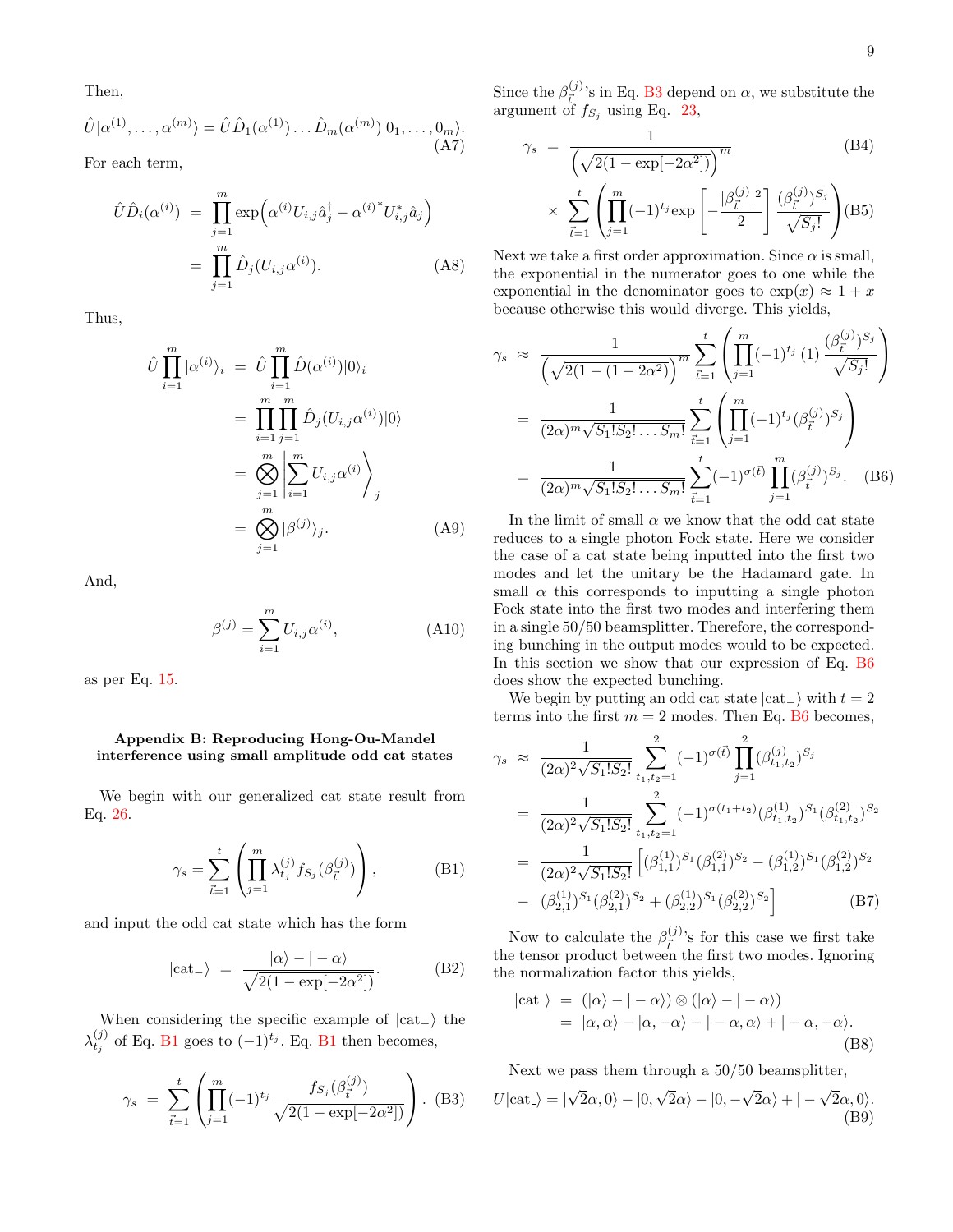Then,

$$
\hat{U}|\alpha^{(1)},\ldots,\alpha^{(m)}\rangle = \hat{U}\hat{D}_1(\alpha^{(1)})\ldots\hat{D}_m(\alpha^{(m)})|0_1,\ldots,0_m\rangle.
$$
\n(A7)

For each term,

$$
\hat{U}\hat{D}_i(\alpha^{(i)}) = \prod_{j=1}^m \exp\left(\alpha^{(i)}U_{i,j}\hat{a}_j^\dagger - {\alpha^{(i)}}^*U_{i,j}^*\hat{a}_j\right)
$$

$$
= \prod_{j=1}^m \hat{D}_j(U_{i,j}\alpha^{(i)}).
$$
 (A8)

Thus,

$$
\hat{U} \prod_{i=1}^{m} |\alpha^{(i)}\rangle_{i} = \hat{U} \prod_{i=1}^{m} \hat{D}(\alpha^{(i)})|0\rangle_{i}
$$
\n
$$
= \prod_{i=1}^{m} \prod_{j=1}^{m} \hat{D}_{j}(U_{i,j}\alpha^{(i)})|0\rangle
$$
\n
$$
= \bigotimes_{j=1}^{m} \left| \sum_{i=1}^{m} U_{i,j}\alpha^{(i)} \right\rangle_{j}
$$
\n
$$
= \bigotimes_{j=1}^{m} |\beta^{(j)}\rangle_{j}.
$$
\n(A9)

And,

$$
\beta^{(j)} = \sum_{i=1}^{m} U_{i,j} \alpha^{(i)},
$$
\n(A10)

as per Eq. [15.](#page-3-5)

#### <span id="page-8-0"></span>Appendix B: Reproducing Hong-Ou-Mandel interference using small amplitude odd cat states

We begin with our generalized cat state result from Eq. [26.](#page-4-2)

<span id="page-8-1"></span>
$$
\gamma_s = \sum_{\vec{t}=1}^t \left( \prod_{j=1}^m \lambda_{t_j}^{(j)} f_{S_j}(\beta_{\vec{t}}^{(j)}) \right),\tag{B1}
$$

and input the odd cat state which has the form

<span id="page-8-5"></span>
$$
|\text{cat-}\rangle = \frac{|\alpha\rangle - |-\alpha\rangle}{\sqrt{2(1 - \exp[-2\alpha^2])}}.
$$
 (B2)

When considering the specific example of  $|cat_-\rangle$  the  $\lambda_{t_j}^{(j)}$  of Eq. [B1](#page-8-1) goes to  $(-1)^{t_j}$ . Eq. B1 then becomes,

<span id="page-8-2"></span>
$$
\gamma_s = \sum_{\vec{t}=1}^t \left( \prod_{j=1}^m (-1)^{t_j} \frac{f_{S_j}(\beta_{\vec{t}}^{(j)})}{\sqrt{2(1 - \exp[-2\alpha^2])}} \right). \tag{B3}
$$

Since the  $\beta_{\vec{r}}^{(j)}$  $_{\vec{t}_e}^{(9)}$ 's in Eq. [B3](#page-8-2) depend on  $\alpha$ , we substitute the argument of  $f_{S_j}$  using Eq. [23,](#page-4-0)

$$
\gamma_s = \frac{1}{\left(\sqrt{2(1 - \exp[-2\alpha^2])}\right)^m} \tag{B4}
$$
\n
$$
\times \sum_{\vec{t}=1}^t \left(\prod_{j=1}^m (-1)^{t_j} \exp\left[-\frac{|\beta_{\vec{t}}^{(j)}|^2}{2}\right] \frac{(\beta_{\vec{t}}^{(j)})^{S_j}}{\sqrt{S_j!}}\right) \tag{B5}
$$

Next we take a first order approximation. Since  $\alpha$  is small, the exponential in the numerator goes to one while the exponential in the denominator goes to  $\exp(x) \approx 1 + x$ because otherwise this would diverge. This yields,

<span id="page-8-3"></span>
$$
\gamma_s \approx \frac{1}{\left(\sqrt{2(1-(1-2\alpha^2)}\right)^m} \sum_{\vec{t}=1}^t \left(\prod_{j=1}^m (-1)^{t_j} (1) \frac{(\beta_{\vec{t}}^{(j)})^{S_j}}{\sqrt{S_j!}}\right)
$$

$$
= \frac{1}{(2\alpha)^m \sqrt{S_1! S_2! \dots S_m!}} \sum_{\vec{t}=1}^t \left(\prod_{j=1}^m (-1)^{t_j} (\beta_{\vec{t}}^{(j)})^{S_j}\right)
$$

$$
= \frac{1}{(2\alpha)^m \sqrt{S_1! S_2! \dots S_m!}} \sum_{\vec{t}=1}^t (-1)^{\sigma(\vec{t})} \prod_{j=1}^m (\beta_{\vec{t}}^{(j)})^{S_j}. \quad (B6)
$$

In the limit of small  $\alpha$  we know that the odd cat state reduces to a single photon Fock state. Here we consider the case of a cat state being inputted into the first two modes and let the unitary be the Hadamard gate. In small  $\alpha$  this corresponds to inputting a single photon Fock state into the first two modes and interfering them in a single 50/50 beamsplitter. Therefore, the corresponding bunching in the output modes would to be expected. In this section we show that our expression of Eq. [B6](#page-8-3) does show the expected bunching.

We begin by putting an odd cat state  $|cat_{\text{at}}\rangle$  with  $t = 2$ terms into the first  $m = 2$  modes. Then Eq. [B6](#page-8-3) becomes,

<span id="page-8-4"></span>
$$
\gamma_s \approx \frac{1}{(2\alpha)^2 \sqrt{S_1! S_2!}} \sum_{t_1, t_2=1}^2 (-1)^{\sigma(\vec{t})} \prod_{j=1}^2 (\beta_{t_1, t_2}^{(j)})^{S_j}
$$
  
\n
$$
= \frac{1}{(2\alpha)^2 \sqrt{S_1! S_2!}} \sum_{t_1, t_2=1}^2 (-1)^{\sigma(t_1+t_2)} (\beta_{t_1, t_2}^{(1)})^{S_1} (\beta_{t_1, t_2}^{(2)})^{S_2}
$$
  
\n
$$
= \frac{1}{(2\alpha)^2 \sqrt{S_1! S_2!}} \left[ (\beta_{1,1}^{(1)})^{S_1} (\beta_{1,1}^{(2)})^{S_2} - (\beta_{1,2}^{(1)})^{S_1} (\beta_{1,2}^{(2)})^{S_2} - (\beta_{2,1}^{(1)})^{S_1} (\beta_{2,1}^{(2)})^{S_2} + (\beta_{2,2}^{(1)})^{S_1} (\beta_{2,2}^{(2)})^{S_2} \right]
$$
(B7)

Now to calculate the  $\beta_{\vec{r}}^{(j)}$  $\frac{d^{(1)}}{t}$ 's for this case we first take the tensor product between the first two modes. Ignoring the normalization factor this yields,

$$
|\text{cat.}\rangle = (|\alpha\rangle - | -\alpha\rangle) \otimes (|\alpha\rangle - | -\alpha\rangle)
$$
  
=  $|\alpha, \alpha\rangle - |\alpha, -\alpha\rangle - | -\alpha, \alpha\rangle + | -\alpha, -\alpha\rangle.$  (B8)

Next we pass them through a 50/50 beamsplitter,

$$
U|\text{cat.}\rangle = |\sqrt{2}\alpha, 0\rangle - |0, \sqrt{2}\alpha\rangle - |0, -\sqrt{2}\alpha\rangle + |-\sqrt{2}\alpha, 0\rangle.
$$
\n(B9)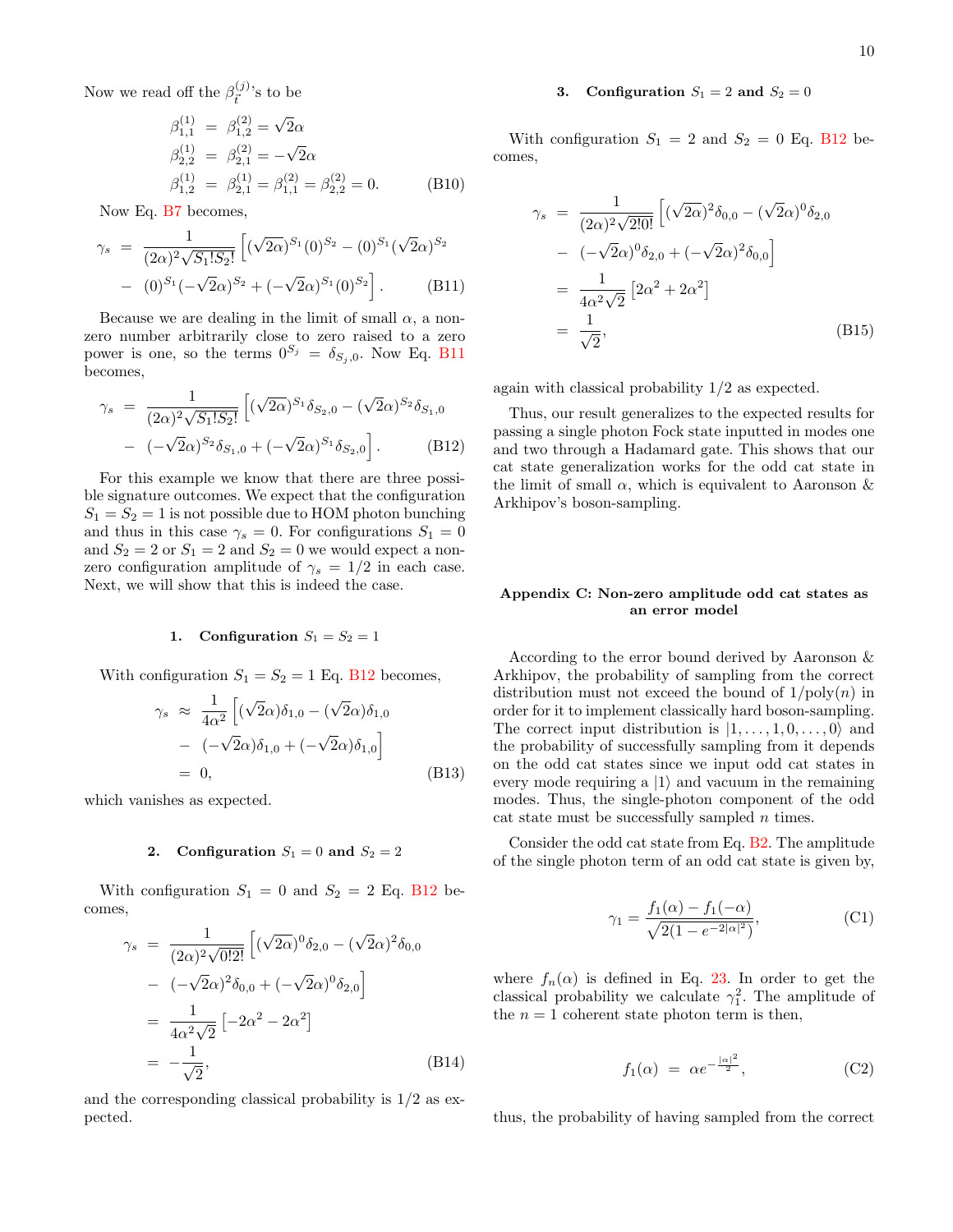Now we read off the  $\beta_{\vec{r}}^{(j)}$  $\binom{(J)}{\vec{t}}$ 's to be

$$
\beta_{1,1}^{(1)} = \beta_{1,2}^{(2)} = \sqrt{2}\alpha
$$
  
\n
$$
\beta_{2,2}^{(1)} = \beta_{2,1}^{(2)} = -\sqrt{2}\alpha
$$
  
\n
$$
\beta_{1,2}^{(1)} = \beta_{2,1}^{(1)} = \beta_{1,1}^{(2)} = \beta_{2,2}^{(2)} = 0.
$$
 (B10)

Now Eq. [B7](#page-8-4) becomes,

<span id="page-9-1"></span>
$$
\gamma_s = \frac{1}{(2\alpha)^2 \sqrt{S_1! S_2!}} \left[ (\sqrt{2\alpha})^{S_1} (0)^{S_2} - (0)^{S_1} (\sqrt{2\alpha})^{S_2} - (0)^{S_1} (-\sqrt{2\alpha})^{S_2} + (-\sqrt{2\alpha})^{S_1} (0)^{S_2} \right].
$$
\n(B11)

Because we are dealing in the limit of small  $\alpha$ , a nonzero number arbitrarily close to zero raised to a zero power is one, so the terms  $0^{S_j} = \delta_{S_j,0}$ . Now Eq. [B11](#page-9-1) becomes,

<span id="page-9-2"></span>
$$
\gamma_s = \frac{1}{(2\alpha)^2 \sqrt{S_1! S_2!}} \left[ (\sqrt{2\alpha})^{S_1} \delta_{S_2,0} - (\sqrt{2}\alpha)^{S_2} \delta_{S_1,0} - (-\sqrt{2}\alpha)^{S_2} \delta_{S_1,0} + (-\sqrt{2}\alpha)^{S_1} \delta_{S_2,0} \right].
$$
\n(B12)

For this example we know that there are three possible signature outcomes. We expect that the configuration  $S_1 = S_2 = 1$  is not possible due to HOM photon bunching and thus in this case  $\gamma_s = 0$ . For configurations  $S_1 = 0$ and  $S_2 = 2$  or  $S_1 = 2$  and  $S_2 = 0$  we would expect a nonzero configuration amplitude of  $\gamma_s = 1/2$  in each case. Next, we will show that this is indeed the case.

#### 1. Configuration  $S_1 = S_2 = 1$

With configuration  $S_1 = S_2 = 1$  Eq. [B12](#page-9-2) becomes,

$$
\gamma_s \approx \frac{1}{4\alpha^2} \left[ (\sqrt{2}\alpha)\delta_{1,0} - (\sqrt{2}\alpha)\delta_{1,0} - (-\sqrt{2}\alpha)\delta_{1,0} + (-\sqrt{2}\alpha)\delta_{1,0} \right]
$$
  
= 0, (B13)

which vanishes as expected.

#### 2. Configuration  $S_1 = 0$  and  $S_2 = 2$

With configuration  $S_1 = 0$  and  $S_2 = 2$  Eq. [B12](#page-9-2) becomes,

$$
\gamma_s = \frac{1}{(2\alpha)^2 \sqrt{0!2!}} \left[ (\sqrt{2\alpha})^0 \delta_{2,0} - (\sqrt{2}\alpha)^2 \delta_{0,0} \right] \n- (-\sqrt{2}\alpha)^2 \delta_{0,0} + (-\sqrt{2}\alpha)^0 \delta_{2,0} \right] \n= \frac{1}{4\alpha^2 \sqrt{2}} \left[ -2\alpha^2 - 2\alpha^2 \right] \n= -\frac{1}{\sqrt{2}},
$$
\n(B14)

and the corresponding classical probability is  $1/2$  as expected.

## 3. Configuration  $S_1 = 2$  and  $S_2 = 0$

With configuration  $S_1 = 2$  and  $S_2 = 0$  Eq. [B12](#page-9-2) becomes,

$$
\gamma_s = \frac{1}{(2\alpha)^2 \sqrt{2!0!}} \left[ (\sqrt{2\alpha})^2 \delta_{0,0} - (\sqrt{2}\alpha)^0 \delta_{2,0} \right] \n- (-\sqrt{2}\alpha)^0 \delta_{2,0} + (-\sqrt{2}\alpha)^2 \delta_{0,0} \right] \n= \frac{1}{4\alpha^2 \sqrt{2}} \left[ 2\alpha^2 + 2\alpha^2 \right] \n= \frac{1}{\sqrt{2}},
$$
\n(B15)

again with classical probability 1/2 as expected.

Thus, our result generalizes to the expected results for passing a single photon Fock state inputted in modes one and two through a Hadamard gate. This shows that our cat state generalization works for the odd cat state in the limit of small  $\alpha$ , which is equivalent to Aaronson  $\&$ Arkhipov's boson-sampling.

#### <span id="page-9-0"></span>Appendix C: Non-zero amplitude odd cat states as an error model

According to the error bound derived by Aaronson & Arkhipov, the probability of sampling from the correct distribution must not exceed the bound of  $1/poly(n)$  in order for it to implement classically hard boson-sampling. The correct input distribution is  $|1, \ldots, 1, 0, \ldots, 0\rangle$  and the probability of successfully sampling from it depends on the odd cat states since we input odd cat states in every mode requiring a  $|1\rangle$  and vacuum in the remaining modes. Thus, the single-photon component of the odd cat state must be successfully sampled  $n$  times.

Consider the odd cat state from Eq. [B2.](#page-8-5) The amplitude of the single photon term of an odd cat state is given by,

$$
\gamma_1 = \frac{f_1(\alpha) - f_1(-\alpha)}{\sqrt{2(1 - e^{-2|\alpha|^2})}},
$$
\n(C1)

where  $f_n(\alpha)$  is defined in Eq. [23.](#page-4-0) In order to get the classical probability we calculate  $\gamma_1^2$ . The amplitude of the  $n = 1$  coherent state photon term is then,

$$
f_1(\alpha) = \alpha e^{-\frac{|\alpha|^2}{2}}, \qquad (C2)
$$

thus, the probability of having sampled from the correct